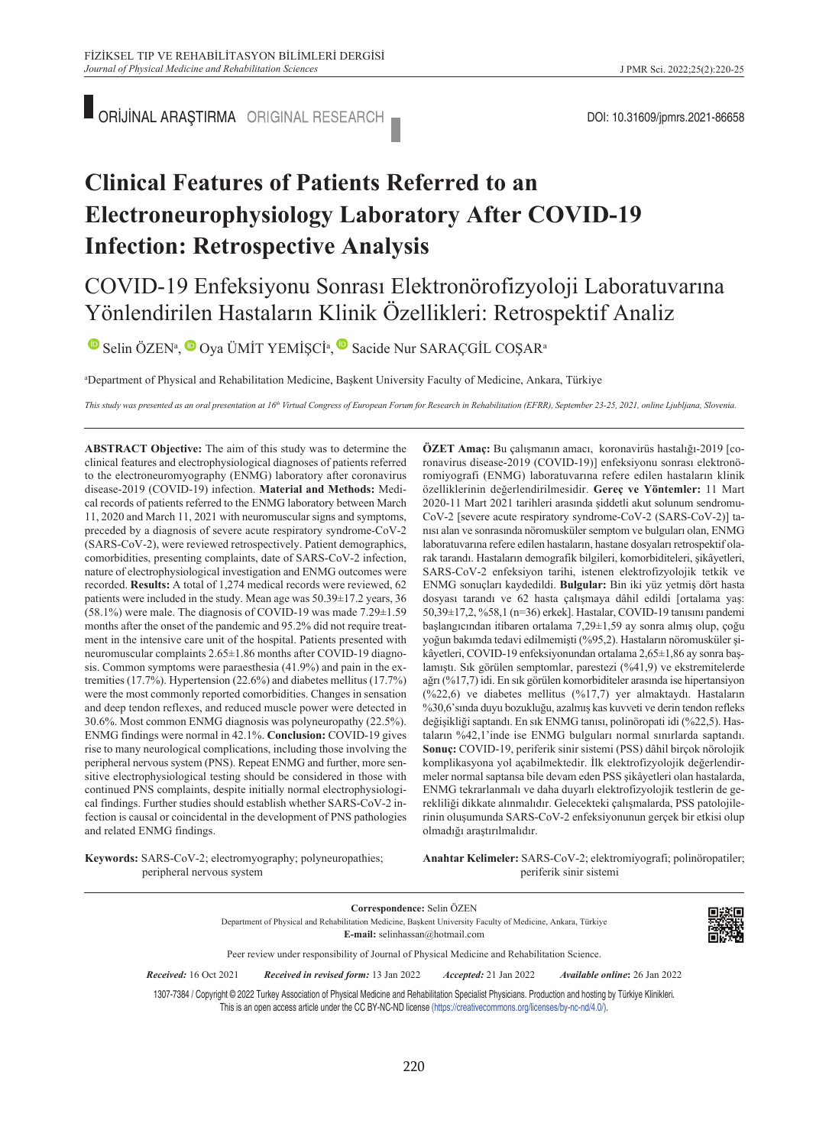ORİJİNAL ARAŞTIRMA ORIGINAL RESEARCH DOI: 10.31609/jpmrs.2021-86658

# **Clinical Features of Patients Referred to an Electroneurophysiology Laboratory After COVID-19 Infection: Retrospective Analysis**

## COVID-19 Enfeksiyonu Sonrası Elektronörofizyoloji Laboratuvarına Yönlendirilen Hastaların Klinik Özellikleri: Retrospektif Analiz

SelinÖZEN<sup>a</sup>[,](https://orcid.org/0000-0001-8306-463X) Oya ÜMİT YEMİŞCİ<sup>a</sup>, Osacide Nur SARAÇGİL COŞAR<sup>a</sup>

a Department of Physical and Rehabilitation Medicine, Başkent University Faculty of Medicine, Ankara, Türkiye

This study was presented as an oral presentation at 16<sup>th</sup> Virtual Congress of European Forum for Research in Rehabilitation (EFRR), September 23-25, 2021, online Ljubljana, Slovenia.

**ABS TRACT Objective:** The aim of this study was to determine the clinical features and electrophysiological diagnoses of patients referred to the electroneuromyography (ENMG) laboratory after coronavirus disease-2019 (COVID-19) infection. **Material and Methods:** Medical records of patients referred to the ENMG laboratory between March 11, 2020 and March 11, 2021 with neuromuscular signs and symptoms, preceded by a diagnosis of severe acute respiratory syndrome-CoV-2 (SARS-CoV-2), were reviewed retrospectively. Patient demographics, comorbidities, presenting complaints, date of SARS-CoV-2 infection, nature of electrophysiological investigation and ENMG outcomes were recorded. **Results:** A total of 1,274 medical records were reviewed, 62 patients were included in the study. Mean age was 50.39±17.2 years, 36  $(58.1%)$  were male. The diagnosis of COVID-19 was made 7.29 $\pm$ 1.59 months after the onset of the pandemic and 95.2% did not require treatment in the intensive care unit of the hospital. Patients presented with neuromuscular complaints 2.65±1.86 months after COVID-19 diagnosis. Common symptoms were paraesthesia (41.9%) and pain in the extremities (17.7%). Hypertension (22.6%) and diabetes mellitus (17.7%) were the most commonly reported comorbidities. Changes in sensation and deep tendon reflexes, and reduced muscle power were detected in 30.6%. Most common ENMG diagnosis was polyneuropathy (22.5%). ENMG findings were normal in 42.1%. **Conclusion:** COVID-19 gives rise to many neurological complications, including those involving the peripheral nervous system (PNS). Repeat ENMG and further, more sensitive electrophysiological testing should be considered in those with continued PNS complaints, despite initially normal electrophysiological findings. Further studies should establish whether SARS-CoV-2 infection is causal or coincidental in the development of PNS pathologies and related ENMG findings.

özelliklerinin değerlendirilmesidir. **Gereç ve Yöntemler:** 11 Mart 2020-11 Mart 2021 tarihleri arasında şiddetli akut solunum sendromu-CoV-2 [severe acute respiratory syndrome-CoV-2 (SARS-CoV-2)] tanısı alan ve sonrasında nöromusküler semptom ve bulguları olan, ENMG laboratuvarına refere edilen hastaların, hastane dosyaları retrospektif olarak tarandı. Hastaların demografik bilgileri, komorbiditeleri, şikâyetleri, SARS-CoV-2 enfeksiyon tarihi, istenen elektrofizyolojik tetkik ve ENMG sonuçları kaydedildi. **Bulgular:** Bin iki yüz yetmiş dört hasta dosyası tarandı ve 62 hasta çalışmaya dâhil edildi [ortalama yaş: 50,39±17,2, %58,1 (n=36) erkek]. Hastalar, COVID-19 tanısını pandemi başlangıcından itibaren ortalama 7,29±1,59 ay sonra almış olup, çoğu yoğun bakımda tedavi edilmemişti (%95,2). Hastaların nöromusküler şikâyetleri, COVID-19 enfeksiyonundan ortalama 2,65±1,86 ay sonra başlamıştı. Sık görülen semptomlar, parestezi (%41,9) ve ekstremitelerde ağrı (%17,7) idi. En sık görülen komorbiditeler arasında ise hipertansiyon (%22,6) ve diabetes mellitus (%17,7) yer almaktaydı. Hastaların %30,6'sında duyu bozukluğu, azalmış kas kuvveti ve derin tendon refleks değişikliği saptandı. En sık ENMG tanısı, polinöropati idi (%22,5). Hastaların %42,1'inde ise ENMG bulguları normal sınırlarda saptandı. **Sonuç:** COVID-19, periferik sinir sistemi (PSS) dâhil birçok nörolojik komplikasyona yol açabilmektedir. İlk elektrofizyolojik değerlendirmeler normal saptansa bile devam eden PSS şikâyetleri olan hastalarda, ENMG tekrarlanmalı ve daha duyarlı elektrofizyolojik testlerin de gerekliliği dikkate alınmalıdır. Gelecekteki çalışmalarda, PSS patolojilerinin oluşumunda SARS-CoV-2 enfeksiyonunun gerçek bir etkisi olup olmadığı araştırılmalıdır.

**ÖZET Amaç:** Bu çalışmanın amacı, koronavirüs hastalığı-2019 [coronavirus disease-2019 (COVID-19)] enfeksiyonu sonrası elektronöromiyografi (ENMG) laboratuvarına refere edilen hastaların klinik

**Keywords:** SARS-CoV-2; electromyography; polyneuropathies; peripheral nervous system

Anahtar Kelimeler: SARS-CoV-2; elektromiyografi; polinöropatiler; periferik sinir sistemi

**Correspondence:** Selin ÖZEN Department of Physical and Rehabilitation Medicine, Başkent University Faculty of Medicine, Ankara, Türkiye **E-mail:** selinhassan@hotmail.com



Peer review under responsibility of Journal of Physical Medicine and Rehabilitation Science.

*Re ce i ved:* 16 Oct 2021 *Received in revised form:* 13 Jan 2022 *Ac cep ted:* 21 Jan 2022 *Available online***:** 26 Jan 2022

1307-7384 / Copyright © 2022 Turkey Association of Physical Medicine and Rehabilitation Specialist Physicians. Production and hosting by Türkiye Klinikleri. This is an open access article under the CC BY-NC-ND license [\(https://creativecommons.org/licenses/by-nc-nd/4.0/\)](https://creativecommons.org/licenses/by-nc-nd/4.0/).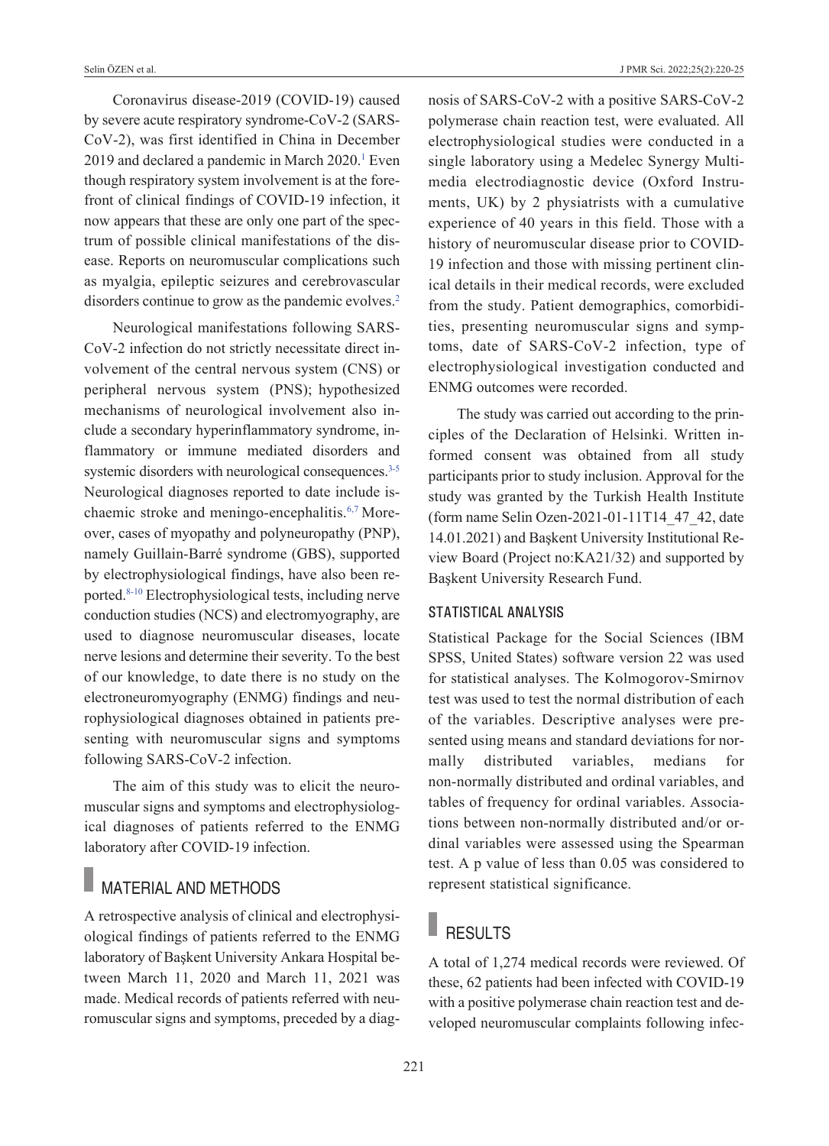Coronavirus disease-2019 (COVID-19) caused by severe acute respiratory syndrome-CoV-2 (SARS-CoV-2), was first identified in China in December 2019 and declared a pandemic in March 2020.<sup>1</sup> Even though respiratory system involvement is at the forefront of clinical findings of COVID-19 infection, it now appears that these are only one part of the spectrum of possible clinical manifestations of the disease. Reports on neuromuscular complications such as myalgia, epileptic seizures and cerebrovascular disorders continue to grow as the pandemic evolves.<sup>2</sup>

Neurological manifestations following SARS-CoV-2 infection do not strictly necessitate direct involvement of the central nervous system (CNS) or peripheral nervous system (PNS); hypothesized mechanisms of neurological involvement also include a secondary hyperinflammatory syndrome, inflammatory or immune mediated disorders and systemic disorders with neurological consequences.<sup>3-5</sup> Neurological diagnoses reported to date include ischaemic stroke and meningo-encephalitis[.6,7](#page-5-0) Moreover, cases of myopathy and polyneuropathy (PNP), namely Guillain-Barré syndrome (GBS), supported by electrophysiological findings, have also been reported[.8-10](#page-5-0) Electrophysiological tests, including nerve conduction studies (NCS) and electromyography, are used to diagnose neuromuscular diseases, locate nerve lesions and determine their severity. To the best of our knowledge, to date there is no study on the electroneuromyography (ENMG) findings and neurophysiological diagnoses obtained in patients presenting with neuromuscular signs and symptoms following SARS-CoV-2 infection.

The aim of this study was to elicit the neuromuscular signs and symptoms and electrophysiological diagnoses of patients referred to the ENMG laboratory after COVID-19 infection.

### MATERIAL AND METHODS

A retrospective analysis of clinical and electrophysiological findings of patients referred to the ENMG laboratory of Başkent University Ankara Hospital between March 11, 2020 and March 11, 2021 was made. Medical records of patients referred with neuromuscular signs and symptoms, preceded by a diagnosis of SARS-CoV-2 with a positive SARS-CoV-2 polymerase chain reaction test, were evaluated. All electrophysiological studies were conducted in a single laboratory using a Medelec Synergy Multimedia electrodiagnostic device (Oxford Instruments, UK) by 2 physiatrists with a cumulative experience of 40 years in this field. Those with a history of neuromuscular disease prior to COVID-19 infection and those with missing pertinent clinical details in their medical records, were excluded from the study. Patient demographics, comorbidities, presenting neuromuscular signs and symptoms, date of SARS-CoV-2 infection, type of electrophysiological investigation conducted and ENMG outcomes were recorded.

The study was carried out according to the principles of the Declaration of Helsinki. Written informed consent was obtained from all study participants prior to study inclusion. Approval for the study was granted by the Turkish Health Institute (form name Selin Ozen-2021-01-11T14\_47\_42, date 14.01.2021) and Başkent University Institutional Review Board (Project no:KA21/32) and supported by Başkent University Research Fund.

#### STATISTICAL ANALYSIS

Statistical Package for the Social Sciences (IBM SPSS, United States) software version 22 was used for statistical analyses. The Kolmogorov-Smirnov test was used to test the normal distribution of each of the variables. Descriptive analyses were presented using means and standard deviations for normally distributed variables, medians for non-normally distributed and ordinal variables, and tables of frequency for ordinal variables. Associations between non-normally distributed and/or ordinal variables were assessed using the Spearman test. A p value of less than 0.05 was considered to represent statistical significance.

## RESULTS

A total of 1,274 medical records were reviewed. Of these, 62 patients had been infected with COVID-19 with a positive polymerase chain reaction test and developed neuromuscular complaints following infec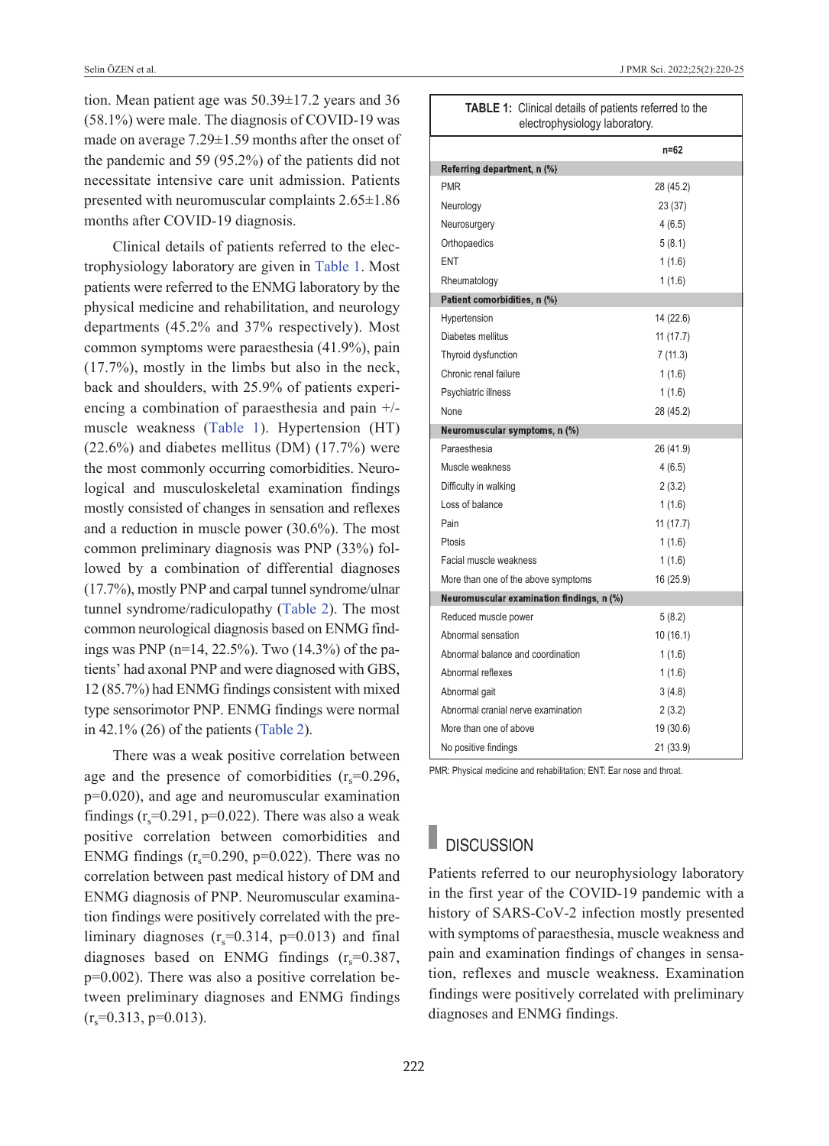tion. Mean patient age was 50.39±17.2 years and 36 (58.1%) were male. The diagnosis of COVID-19 was made on average 7.29±1.59 months after the onset of the pandemic and 59 (95.2%) of the patients did not necessitate intensive care unit admission. Patients presented with neuromuscular complaints 2.65±1.86 months after COVID-19 diagnosis.

Clinical details of patients referred to the electrophysiology laboratory are given in [Table 1.](#page-2-0) Most patients were referred to the ENMG laboratory by the physical medicine and rehabilitation, and neurology departments (45.2% and 37% respectively). Most common symptoms were paraesthesia (41.9%), pain (17.7%), mostly in the limbs but also in the neck, back and shoulders, with 25.9% of patients experiencing a combination of paraesthesia and pain +/ muscle weakness [\(Table 1\)](#page-2-0). Hypertension (HT)  $(22.6\%)$  and diabetes mellitus (DM)  $(17.7\%)$  were the most commonly occurring comorbidities. Neurological and musculoskeletal examination findings mostly consisted of changes in sensation and reflexes and a reduction in muscle power (30.6%). The most common preliminary diagnosis was PNP (33%) followed by a combination of differential diagnoses (17.7%), mostly PNP and carpal tunnel syndrome/ulnar tunnel syndrome/radiculopathy [\(Table 2\)](#page-3-0). The most common neurological diagnosis based on ENMG findings was PNP (n=14, 22.5%). Two (14.3%) of the patients' had axonal PNP and were diagnosed with GBS, 12 (85.7%) had ENMG findings consistent with mixed type sensorimotor PNP. ENMG findings were normal in  $42.1\%$  (26) of the patients [\(Table 2\)](#page-3-0).

There was a weak positive correlation between age and the presence of comorbidities  $(r<sub>s</sub>=0.296$ , p=0.020), and age and neuromuscular examination findings  $(r_s=0.291, p=0.022)$ . There was also a weak positive correlation between comorbidities and ENMG findings  $(r<sub>s</sub>=0.290, p=0.022)$ . There was no correlation between past medical history of DM and ENMG diagnosis of PNP. Neuromuscular examination findings were positively correlated with the preliminary diagnoses  $(r_s=0.314, p=0.013)$  and final diagnoses based on ENMG findings  $(r_s=0.387,$ p=0.002). There was also a positive correlation between preliminary diagnoses and ENMG findings  $(r_s=0.313, p=0.013).$ 

<span id="page-2-0"></span>

| <b>TABLE 1:</b> Clinical details of patients referred to the<br>electrophysiology laboratory. |           |  |
|-----------------------------------------------------------------------------------------------|-----------|--|
|                                                                                               | $n = 62$  |  |
| Referring department, n (%)                                                                   |           |  |
| <b>PMR</b>                                                                                    | 28 (45.2) |  |
| Neurology                                                                                     | 23 (37)   |  |
| Neurosurgery                                                                                  | 4(6.5)    |  |
| Orthopaedics                                                                                  | 5(8.1)    |  |
| ENT                                                                                           | 1(1.6)    |  |
| Rheumatology                                                                                  | 1(1.6)    |  |
| Patient comorbidities, n (%)                                                                  |           |  |
| Hypertension                                                                                  | 14 (22.6) |  |
| Diabetes mellitus                                                                             | 11(17.7)  |  |
| Thyroid dysfunction                                                                           | 7(11.3)   |  |
| Chronic renal failure                                                                         | 1(1.6)    |  |
| Psychiatric illness                                                                           | 1(1.6)    |  |
| None                                                                                          | 28 (45.2) |  |
| Neuromuscular symptoms, n (%)                                                                 |           |  |
| Paraesthesia                                                                                  | 26 (41.9) |  |
| Muscle weakness                                                                               | 4(6.5)    |  |
| Difficulty in walking                                                                         | 2(3.2)    |  |
| Loss of balance                                                                               | 1(1.6)    |  |
| Pain                                                                                          | 11(17.7)  |  |
| Ptosis                                                                                        | 1(1.6)    |  |
| Facial muscle weakness                                                                        | 1(1.6)    |  |
| More than one of the above symptoms                                                           | 16 (25.9) |  |
| Neuromuscular examination findings, n (%)                                                     |           |  |
| Reduced muscle power                                                                          | 5(8.2)    |  |
| Abnormal sensation                                                                            | 10(16.1)  |  |
| Abnormal balance and coordination                                                             | 1(1.6)    |  |
| Abnormal reflexes                                                                             | 1(1.6)    |  |
| Abnormal gait                                                                                 | 3(4.8)    |  |
| Abnormal cranial nerve examination                                                            | 2(3.2)    |  |
| More than one of above                                                                        | 19 (30.6) |  |
| No positive findings                                                                          | 21 (33.9) |  |

PMR: Physical medicine and rehabilitation; ENT: Ear nose and throat

## **DISCUSSION**

Patients referred to our neurophysiology laboratory in the first year of the COVID-19 pandemic with a history of SARS-CoV-2 infection mostly presented with symptoms of paraesthesia, muscle weakness and pain and examination findings of changes in sensation, reflexes and muscle weakness. Examination findings were positively correlated with preliminary diagnoses and ENMG findings.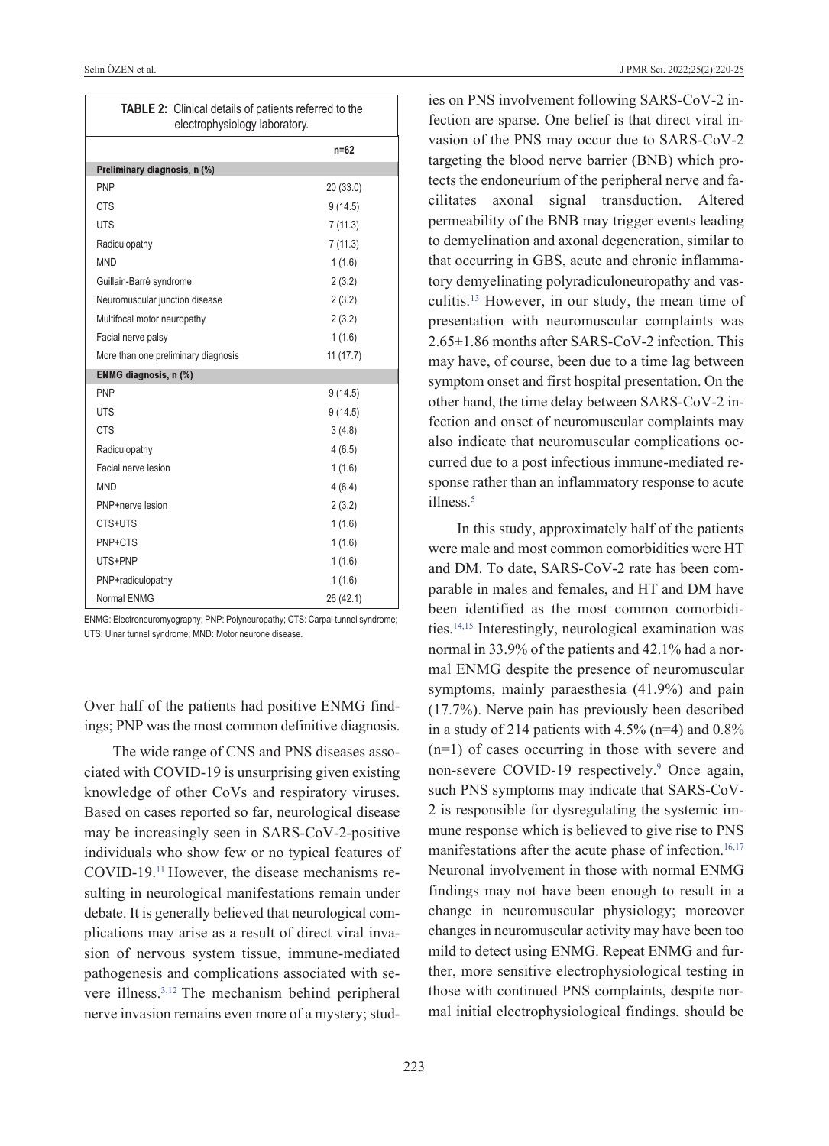| <b>TABLE 2:</b> Clinical details of patients referred to the<br>electrophysiology laboratory. |           |
|-----------------------------------------------------------------------------------------------|-----------|
|                                                                                               | $n = 62$  |
| Preliminary diagnosis, n (%)                                                                  |           |
| <b>PNP</b>                                                                                    | 20(33.0)  |
| <b>CTS</b>                                                                                    | 9(14.5)   |
| <b>UTS</b>                                                                                    | 7(11.3)   |
| Radiculopathy                                                                                 | 7(11.3)   |
| <b>MND</b>                                                                                    | 1(1.6)    |
| Guillain-Barré syndrome                                                                       | 2(3.2)    |
| Neuromuscular junction disease                                                                | 2(3.2)    |
| Multifocal motor neuropathy                                                                   | 2(3.2)    |
| Facial nerve palsy                                                                            | 1(1.6)    |
| More than one preliminary diagnosis                                                           | 11(17.7)  |
| ENMG diagnosis, n (%)                                                                         |           |
| <b>PNP</b>                                                                                    | 9(14.5)   |
| <b>UTS</b>                                                                                    | 9(14.5)   |
| <b>CTS</b>                                                                                    | 3(4.8)    |
| Radiculopathy                                                                                 | 4(6.5)    |
| Facial nerve lesion                                                                           | 1(1.6)    |
| <b>MND</b>                                                                                    | 4(6.4)    |
| PNP+nerve lesion                                                                              | 2(3.2)    |
| CTS+UTS                                                                                       | 1(1.6)    |
| PNP+CTS                                                                                       | 1(1.6)    |
| UTS+PNP                                                                                       | 1(1.6)    |
| PNP+radiculopathy                                                                             | 1(1.6)    |
| Normal ENMG                                                                                   | 26 (42.1) |

ENMG: Electroneuromyography; PNP: Polyneuropathy; CTS: Carpal tunnel syndrome; UTS: Ulnar tunnel syndrome; MND: Motor neurone disease.

Over half of the patients had positive ENMG findings; PNP was the most common definitive diagnosis.

The wide range of CNS and PNS diseases associated with COVID-19 is unsurprising given existing knowledge of other CoVs and respiratory viruses. Based on cases reported so far, neurological disease may be increasingly seen in SARS-CoV-2-positive individuals who show few or no typical features of COVID-19[.11](#page-5-0) However, the disease mechanisms resulting in neurological manifestations remain under debate. It is generally believed that neurological complications may arise as a result of direct viral invasion of nervous system tissue, immune-mediated pathogenesis and complications associated with severe illness[.3,12](#page-5-0) The mechanism behind peripheral nerve invasion remains even more of a mystery; stud<span id="page-3-0"></span>ies on PNS involvement following SARS-CoV-2 infection are sparse. One belief is that direct viral invasion of the PNS may occur due to SARS-CoV-2 targeting the blood nerve barrier (BNB) which protects the endoneurium of the peripheral nerve and facilitates axonal signal transduction. Altered permeability of the BNB may trigger events leading to demyelination and axonal degeneration, similar to that occurring in GBS, acute and chronic inflammatory demyelinating polyradiculoneuropathy and vasculitis[.13](#page-5-0) However, in our study, the mean time of presentation with neuromuscular complaints was 2.65±1.86 months after SARS-CoV-2 infection. This may have, of course, been due to a time lag between symptom onset and first hospital presentation. On the other hand, the time delay between SARS-CoV-2 infection and onset of neuromuscular complaints may also indicate that neuromuscular complications occurred due to a post infectious immune-mediated response rather than an inflammatory response to acute illness<sup>5</sup>

In this study, approximately half of the patients were male and most common comorbidities were HT and DM. To date, SARS-CoV-2 rate has been comparable in males and females, and HT and DM have been identified as the most common comorbidities[.14,15](#page-5-0) Interestingly, neurological examination was normal in 33.9% of the patients and 42.1% had a normal ENMG despite the presence of neuromuscular symptoms, mainly paraesthesia (41.9%) and pain (17.7%). Nerve pain has previously been described in a study of 214 patients with  $4.5\%$  (n=4) and  $0.8\%$ (n=1) of cases occurring in those with severe and non-severe COVID-19 respectively.<sup>9</sup> Once again, such PNS symptoms may indicate that SARS-CoV-2 is responsible for dysregulating the systemic immune response which is believed to give rise to PNS manifestations after the acute phase of infection.<sup>16,17</sup> Neuronal involvement in those with normal ENMG findings may not have been enough to result in a change in neuromuscular physiology; moreover changes in neuromuscular activity may have been too mild to detect using ENMG. Repeat ENMG and further, more sensitive electrophysiological testing in those with continued PNS complaints, despite normal initial electrophysiological findings, should be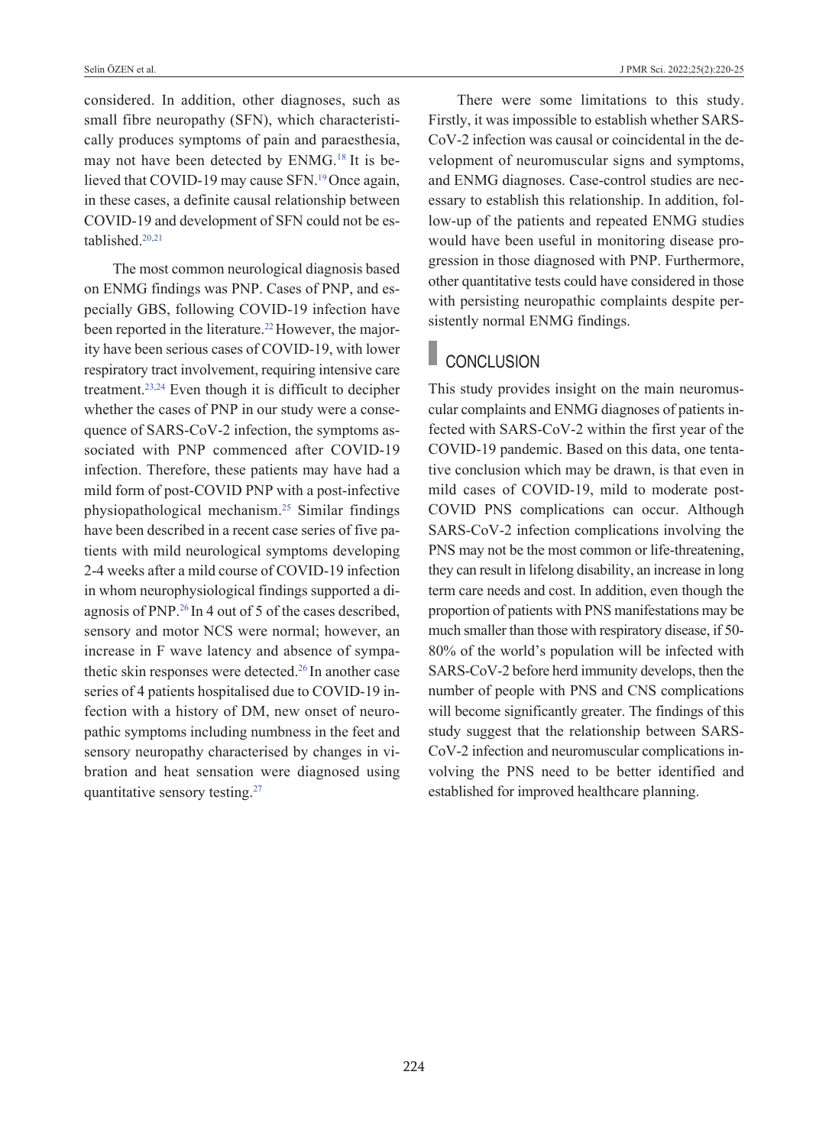considered. In addition, other diagnoses, such as small fibre neuropathy (SFN), which characteristically produces symptoms of pain and paraesthesia, may not have been detected by ENMG[.18](#page-5-0) It is believed that COVID-19 may cause SFN.<sup>19</sup> Once again, in these cases, a definite causal relationship between COVID-19 and development of SFN could not be established[.20,21](#page-5-0)

The most common neurological diagnosis based on ENMG findings was PNP. Cases of PNP, and especially GBS, following COVID-19 infection have been reported in the literature.<sup>22</sup> However, the majority have been serious cases of COVID-19, with lower respiratory tract involvement, requiring intensive care treatment[.23,24](#page-5-0) Even though it is difficult to decipher whether the cases of PNP in our study were a consequence of SARS-CoV-2 infection, the symptoms associated with PNP commenced after COVID-19 infection. Therefore, these patients may have had a mild form of post-COVID PNP with a post-infective physiopathological mechanism[.25](#page-5-0) Similar findings have been described in a recent case series of five patients with mild neurological symptoms developing 2-4 weeks after a mild course of COVID-19 infection in whom neurophysiological findings supported a diagnosis of PNP[.26](#page-5-0) In 4 out of 5 of the cases described, sensory and motor NCS were normal; however, an increase in F wave latency and absence of sympathetic skin responses were detected.<sup>26</sup> In another case series of 4 patients hospitalised due to COVID-19 infection with a history of DM, new onset of neuropathic symptoms including numbness in the feet and sensory neuropathy characterised by changes in vibration and heat sensation were diagnosed using quantitative sensory testing[.27](#page-5-0)

There were some limitations to this study. Firstly, it was impossible to establish whether SARS-CoV-2 infection was causal or coincidental in the development of neuromuscular signs and symptoms, and ENMG diagnoses. Case-control studies are necessary to establish this relationship. In addition, follow-up of the patients and repeated ENMG studies would have been useful in monitoring disease progression in those diagnosed with PNP. Furthermore, other quantitative tests could have considered in those with persisting neuropathic complaints despite persistently normal ENMG findings.

# CONCLUSION

This study provides insight on the main neuromuscular complaints and ENMG diagnoses of patients infected with SARS-CoV-2 within the first year of the COVID-19 pandemic. Based on this data, one tentative conclusion which may be drawn, is that even in mild cases of COVID-19, mild to moderate post-COVID PNS complications can occur. Although SARS-CoV-2 infection complications involving the PNS may not be the most common or life-threatening, they can result in lifelong disability, an increase in long term care needs and cost. In addition, even though the proportion of patients with PNS manifestations may be much smaller than those with respiratory disease, if 50- 80% of the world's population will be infected with SARS-CoV-2 before herd immunity develops, then the number of people with PNS and CNS complications will become significantly greater. The findings of this study suggest that the relationship between SARS-CoV-2 infection and neuromuscular complications involving the PNS need to be better identified and established for improved healthcare planning.